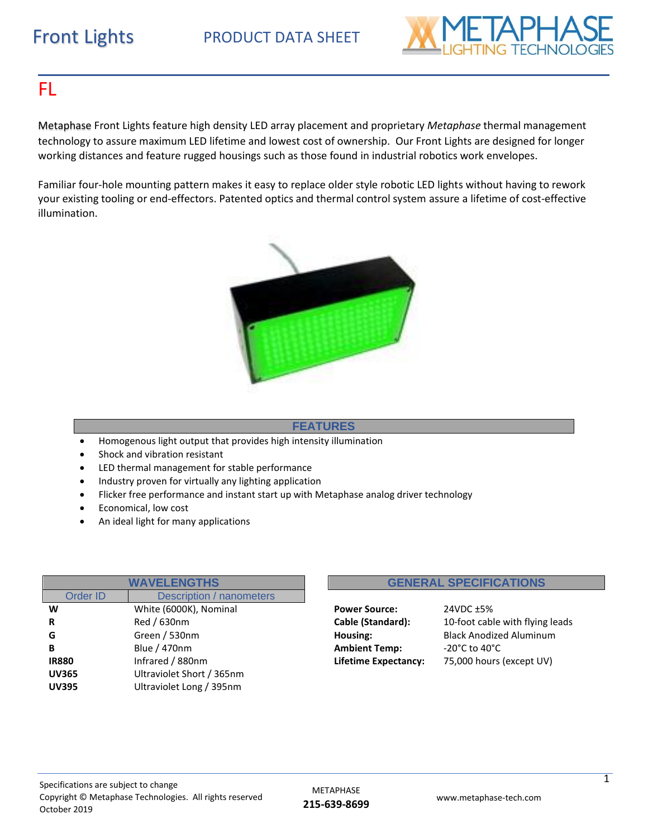

## FL

Metaphase Front Lights feature high density LED array placement and proprietary *Metaphase* thermal management technology to assure maximum LED lifetime and lowest cost of ownership. Our Front Lights are designed for longer working distances and feature rugged housings such as those found in industrial robotics work envelopes.

Familiar four-hole mounting pattern makes it easy to replace older style robotic LED lights without having to rework your existing tooling or end-effectors. Patented optics and thermal control system assure a lifetime of cost-effective illumination.



#### **FEATURES**

- Homogenous light output that provides high intensity illumination
- Shock and vibration resistant
- LED thermal management for stable performance
- Industry proven for virtually any lighting application
- Flicker free performance and instant start up with Metaphase analog driver technology
- Economical, low cost
- An ideal light for many applications

| <b>WAVELENGTHS</b> |                                 |  |  |  |  |  |  |  |
|--------------------|---------------------------------|--|--|--|--|--|--|--|
| <b>Order ID</b>    | <b>Description / nanometers</b> |  |  |  |  |  |  |  |
| W                  | White (6000K), Nominal          |  |  |  |  |  |  |  |
| R                  | Red / 630nm                     |  |  |  |  |  |  |  |
| G                  | Green / 530nm                   |  |  |  |  |  |  |  |
| в                  | <b>Blue / 470nm</b>             |  |  |  |  |  |  |  |
| <b>IR880</b>       | Infrared / 880nm                |  |  |  |  |  |  |  |
| <b>UV365</b>       | Ultraviolet Short / 365nm       |  |  |  |  |  |  |  |
| <b>UV395</b>       | Ultraviolet Long / 395nm        |  |  |  |  |  |  |  |
|                    |                                 |  |  |  |  |  |  |  |

#### **GENERAL SPECIFICATIONS**

**Power Source:** 24VDC ±5% **Ambient Temp:**  $-20^{\circ}$ C to 40°C

**Cable (Standard):** 10-foot cable with flying leads Housing: Black Anodized Aluminum **Lifetime Expectancy:** 75,000 hours (except UV)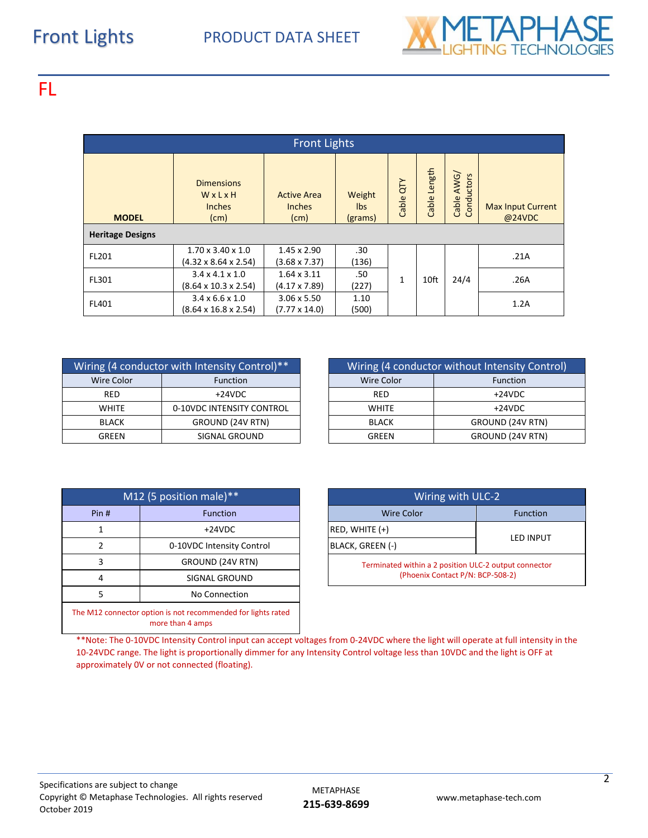

## FL

| <b>Front Lights</b>                     |                                                                   |                                             |                          |              |              |                                      |                                    |  |  |  |  |
|-----------------------------------------|-------------------------------------------------------------------|---------------------------------------------|--------------------------|--------------|--------------|--------------------------------------|------------------------------------|--|--|--|--|
| <b>MODEL</b><br><b>Heritage Designs</b> | <b>Dimensions</b><br>WxLxH<br><b>Inches</b><br>(cm)               | <b>Active Area</b><br><b>Inches</b><br>(cm) | Weight<br>lbs<br>(grams) | Cable QTY    | Cable Length | AWG/<br>onductors<br>Cable<br>$\cup$ | <b>Max Input Current</b><br>@24VDC |  |  |  |  |
|                                         |                                                                   |                                             |                          |              |              |                                      |                                    |  |  |  |  |
| FL201                                   | $1.70 \times 3.40 \times 1.0$<br>$(4.32 \times 8.64 \times 2.54)$ | 1.45 x 2.90<br>$(3.68 \times 7.37)$         | .30<br>(136)             |              |              |                                      | .21A                               |  |  |  |  |
| FL301                                   | $3.4 \times 4.1 \times 1.0$<br>$(8.64 \times 10.3 \times 2.54)$   | $1.64 \times 3.11$<br>$(4.17 \times 7.89)$  |                          | $\mathbf{1}$ | 10ft         | 24/4                                 | .26A                               |  |  |  |  |
| FL401                                   | $3.4 \times 6.6 \times 1.0$<br>$(8.64 \times 16.8 \times 2.54)$   | $3.06 \times 5.50$<br>$(7.77 \times 14.0)$  | 1.10<br>(500)            |              |              |                                      | 1.2A                               |  |  |  |  |

| Wiring (4 conductor with Intensity Control)** |                           |  |              | Wiring (4 conductor without Intensity |  |  |
|-----------------------------------------------|---------------------------|--|--------------|---------------------------------------|--|--|
| <b>Wire Color</b>                             | <b>Function</b>           |  | Wire Color   | Function                              |  |  |
| RED                                           | $+24VDC$                  |  | <b>RED</b>   | $+24VDC$                              |  |  |
| <b>WHITE</b>                                  | 0-10VDC INTENSITY CONTROL |  | <b>WHITE</b> | $+24VDC$                              |  |  |
| BLACK                                         | GROUND (24V RTN)          |  | <b>BLACK</b> | GROUND (24V                           |  |  |
| GREEN                                         | SIGNAL GROUND             |  | <b>GREEN</b> | GROUND (24V                           |  |  |

| Wiring (4 conductor with Intensity Control)** |                           |  |              | Wiring (4 conductor without Intensity Control) |
|-----------------------------------------------|---------------------------|--|--------------|------------------------------------------------|
| Wire Color                                    | <b>Function</b>           |  | Wire Color   | <b>Function</b>                                |
| RED                                           | $+24VDC$                  |  | RED          | $+24VDC$                                       |
| <b>WHITE</b>                                  | 0-10VDC INTENSITY CONTROL |  | <b>WHITE</b> | $+24VDC$                                       |
| <b>BLACK</b>                                  | GROUND (24V RTN)          |  | <b>BLACK</b> | GROUND (24V RTN)                               |
| SIGNAL GROUND<br>GREEN                        |                           |  | <b>GREEN</b> | GROUND (24V RTN)                               |

| M12 (5 position male)** |                                                                                  |  | Wiring with ULC-2                           |  |  |  |                   |  |
|-------------------------|----------------------------------------------------------------------------------|--|---------------------------------------------|--|--|--|-------------------|--|
| Pin#                    | <b>Function</b>                                                                  |  |                                             |  |  |  | <b>Wire Color</b> |  |
|                         | $+24VDC$                                                                         |  | $RED, WHITE (+)$                            |  |  |  |                   |  |
| 2                       | 0-10VDC Intensity Control                                                        |  | BLACK, GREEN (-)                            |  |  |  |                   |  |
| GROUND (24V RTN)<br>3   |                                                                                  |  | Terminated within a 2 position ULC-2 output |  |  |  |                   |  |
| SIGNAL GROUND<br>4      |                                                                                  |  | (Phoenix Contact P/N: BCP-508-2)            |  |  |  |                   |  |
| 5                       | No Connection                                                                    |  |                                             |  |  |  |                   |  |
|                         | The M12 connector option is not recommended for lights rated<br>more than 4 amps |  |                                             |  |  |  |                   |  |

| M12 (5 position male)** |                           |  | Wiring with ULC-2                                     |                  |  |  |
|-------------------------|---------------------------|--|-------------------------------------------------------|------------------|--|--|
| Pin#                    | <b>Function</b>           |  | <b>Wire Color</b>                                     | <b>Function</b>  |  |  |
|                         | $+24VDC$                  |  | $RED, WHITE (+)$                                      | <b>LED INPUT</b> |  |  |
|                         | 0-10VDC Intensity Control |  | BLACK, GREEN (-)                                      |                  |  |  |
|                         | GROUND (24V RTN)          |  | Terminated within a 2 position ULC-2 output connector |                  |  |  |
| SIGNAL GROUND<br>4      |                           |  | (Phoenix Contact P/N: BCP-508-2)                      |                  |  |  |

\*\*Note: The 0-10VDC Intensity Control input can accept voltages from 0-24VDC where the light will operate at full intensity in the 10-24VDC range. The light is proportionally dimmer for any Intensity Control voltage less than 10VDC and the light is OFF at approximately 0V or not connected (floating).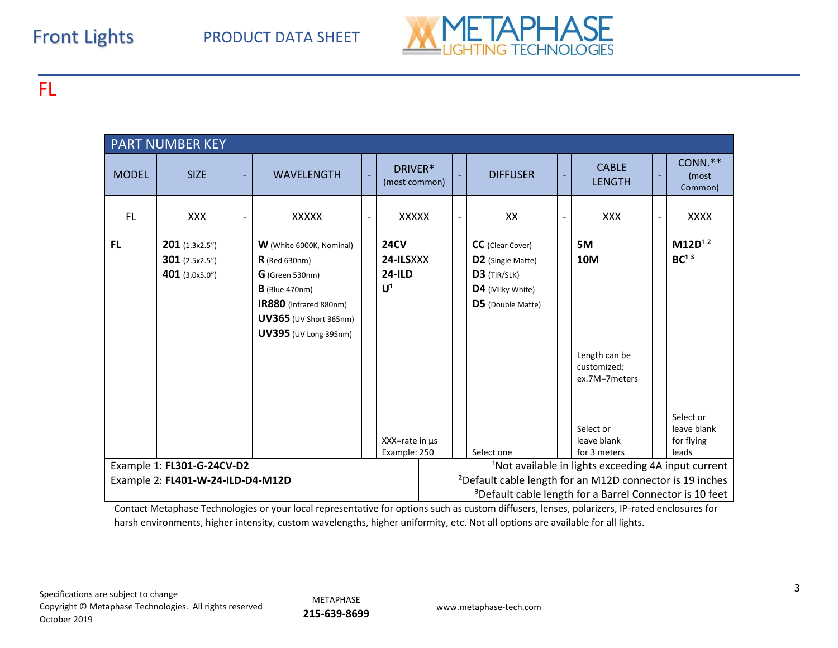# Front Lights PRODUCT DATA SHEET



FL

| <b>PART NUMBER KEY</b>            |                                                                    |                          |                                                                                                                                                                                 |  |                                                |                                                                                                                                         |                                                                                                       |  |                                                            |   |                                              |
|-----------------------------------|--------------------------------------------------------------------|--------------------------|---------------------------------------------------------------------------------------------------------------------------------------------------------------------------------|--|------------------------------------------------|-----------------------------------------------------------------------------------------------------------------------------------------|-------------------------------------------------------------------------------------------------------|--|------------------------------------------------------------|---|----------------------------------------------|
| <b>MODEL</b>                      | <b>SIZE</b>                                                        | ÷                        | <b>WAVELENGTH</b>                                                                                                                                                               |  | DRIVER*<br>(most common)                       | ٠                                                                                                                                       | <b>DIFFUSER</b>                                                                                       |  | <b>CABLE</b><br><b>LENGTH</b>                              | - | CONN.**<br>(most<br>Common)                  |
| <b>FL</b>                         | <b>XXX</b>                                                         | $\overline{\phantom{a}}$ | <b>XXXXX</b>                                                                                                                                                                    |  | XXXXX                                          | $\qquad \qquad \blacksquare$                                                                                                            | XX                                                                                                    |  | <b>XXX</b>                                                 | - | <b>XXXX</b>                                  |
| <b>FL</b>                         | <b>201</b> $(1.3x2.5'')$<br>301 $(2.5x2.5'')$<br>401 $(3.0x5.0'')$ |                          | <b>W</b> (White 6000K, Nominal)<br>$R$ (Red 630nm)<br>$G$ (Green 530nm)<br>$B$ (Blue 470nm)<br>IR880 (Infrared 880nm)<br>UV365 (UV Short 365nm)<br><b>UV395</b> (UV Long 395nm) |  | <b>24CV</b><br>24-ILSXXX<br>$24$ -ILD<br>$U^1$ |                                                                                                                                         | <b>CC</b> (Clear Cover)<br>D2 (Single Matte)<br>D3 (TIR/SLK)<br>D4 (Milky White)<br>D5 (Double Matte) |  | 5M<br>10M<br>Length can be<br>customized:<br>ex.7M=7meters |   | $M12D^{12}$<br>BC <sup>13</sup><br>Select or |
|                                   |                                                                    |                          |                                                                                                                                                                                 |  | $XX = rate in \mu s$                           |                                                                                                                                         | Select one                                                                                            |  | Select or<br>leave blank<br>for 3 meters                   |   | leave blank<br>for flying<br>leads           |
|                                   | Example 1: FL301-G-24CV-D2                                         |                          |                                                                                                                                                                                 |  | Example: 250                                   |                                                                                                                                         |                                                                                                       |  |                                                            |   |                                              |
| Example 2: FL401-W-24-ILD-D4-M12D |                                                                    |                          |                                                                                                                                                                                 |  |                                                | <sup>1</sup> Not available in lights exceeding 4A input current<br><sup>2</sup> Default cable length for an M12D connector is 19 inches |                                                                                                       |  |                                                            |   |                                              |
|                                   |                                                                    |                          |                                                                                                                                                                                 |  |                                                |                                                                                                                                         | <sup>3</sup> Default cable length for a Barrel Connector is 10 feet                                   |  |                                                            |   |                                              |

Contact Metaphase Technologies or your local representative for options such as custom diffusers, lenses, polarizers, IP-rated enclosures for harsh environments, higher intensity, custom wavelengths, higher uniformity, etc. Not all options are available for all lights.